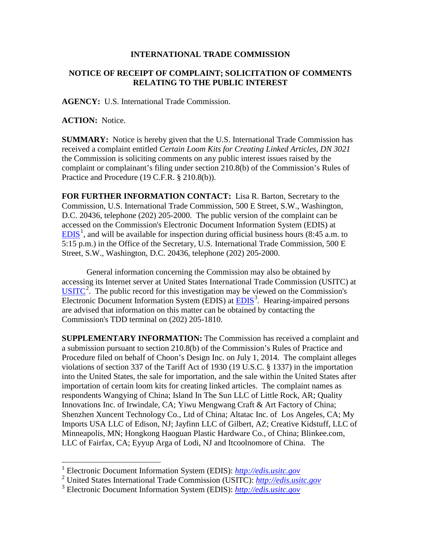## **INTERNATIONAL TRADE COMMISSION**

## **NOTICE OF RECEIPT OF COMPLAINT; SOLICITATION OF COMMENTS RELATING TO THE PUBLIC INTEREST**

**AGENCY:** U.S. International Trade Commission.

**ACTION:** Notice.

 $\overline{a}$ 

**SUMMARY:** Notice is hereby given that the U.S. International Trade Commission has received a complaint entitled *Certain Loom Kits for Creating Linked Articles, DN 3021* the Commission is soliciting comments on any public interest issues raised by the complaint or complainant's filing under section 210.8(b) of the Commission's Rules of Practice and Procedure (19 C.F.R. § 210.8(b)).

**FOR FURTHER INFORMATION CONTACT:** Lisa R. Barton, Secretary to the Commission, U.S. International Trade Commission, 500 E Street, S.W., Washington, D.C. 20436, telephone (202) 205-2000. The public version of the complaint can be accessed on the Commission's Electronic Document Information System (EDIS) at  $EDIS<sup>1</sup>$  $EDIS<sup>1</sup>$  $EDIS<sup>1</sup>$  $EDIS<sup>1</sup>$ , and will be available for inspection during official business hours (8:45 a.m. to 5:15 p.m.) in the Office of the Secretary, U.S. International Trade Commission, 500 E Street, S.W., Washington, D.C. 20436, telephone (202) 205-2000.

General information concerning the Commission may also be obtained by accessing its Internet server at United States International Trade Commission (USITC) at  $\overline{\text{USITC}}^2$  $\overline{\text{USITC}}^2$  $\overline{\text{USITC}}^2$  $\overline{\text{USITC}}^2$ . The public record for this investigation may be viewed on the Commission's Electronic Document Information System (EDIS) at **EDIS**<sup>[3](#page-0-2)</sup>. Hearing-impaired persons are advised that information on this matter can be obtained by contacting the Commission's TDD terminal on (202) 205-1810.

**SUPPLEMENTARY INFORMATION:** The Commission has received a complaint and a submission pursuant to section 210.8(b) of the Commission's Rules of Practice and Procedure filed on behalf of Choon's Design Inc. on July 1, 2014. The complaint alleges violations of section 337 of the Tariff Act of 1930 (19 U.S.C. § 1337) in the importation into the United States, the sale for importation, and the sale within the United States after importation of certain loom kits for creating linked articles. The complaint names as respondents Wangying of China; Island In The Sun LLC of Little Rock, AR; Quality Innovations Inc. of Irwindale, CA; Yiwu Mengwang Craft & Art Factory of China; Shenzhen Xuncent Technology Co., Ltd of China; Altatac Inc. of Los Angeles, CA; My Imports USA LLC of Edison, NJ; Jayfinn LLC of Gilbert, AZ; Creative Kidstuff, LLC of Minneapolis, MN; Hongkong Haoguan Plastic Hardware Co., of China; Blinkee.com, LLC of Fairfax, CA; Eyyup Arga of Lodi, NJ and Itcoolnomore of China. The

<span id="page-0-0"></span><sup>1</sup> Electronic Document Information System (EDIS): *[http://edis.usitc.gov](http://edis.usitc.gov/)*

<span id="page-0-1"></span><sup>2</sup> United States International Trade Commission (USITC): *[http://edis.usitc.gov](http://edis.usitc.gov/)*

<span id="page-0-2"></span><sup>3</sup> Electronic Document Information System (EDIS): *[http://edis.usitc.gov](http://edis.usitc.gov/)*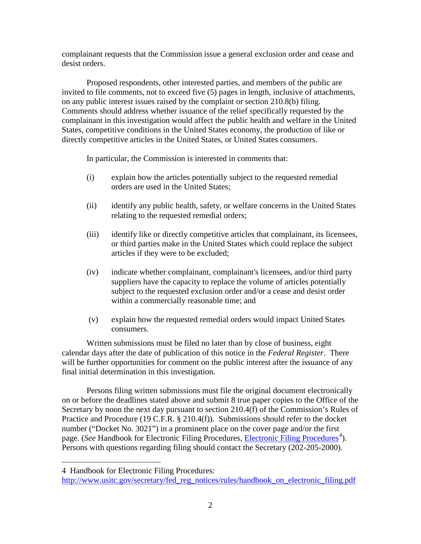complainant requests that the Commission issue a general exclusion order and cease and desist orders.

Proposed respondents, other interested parties, and members of the public are invited to file comments, not to exceed five (5) pages in length, inclusive of attachments, on any public interest issues raised by the complaint or section 210.8(b) filing. Comments should address whether issuance of the relief specifically requested by the complainant in this investigation would affect the public health and welfare in the United States, competitive conditions in the United States economy, the production of like or directly competitive articles in the United States, or United States consumers.

In particular, the Commission is interested in comments that:

- (i) explain how the articles potentially subject to the requested remedial orders are used in the United States;
- (ii) identify any public health, safety, or welfare concerns in the United States relating to the requested remedial orders;
- (iii) identify like or directly competitive articles that complainant, its licensees, or third parties make in the United States which could replace the subject articles if they were to be excluded;
- (iv) indicate whether complainant, complainant's licensees, and/or third party suppliers have the capacity to replace the volume of articles potentially subject to the requested exclusion order and/or a cease and desist order within a commercially reasonable time; and
- (v) explain how the requested remedial orders would impact United States consumers.

Written submissions must be filed no later than by close of business, eight calendar days after the date of publication of this notice in the *Federal Register*. There will be further opportunities for comment on the public interest after the issuance of any final initial determination in this investigation.

Persons filing written submissions must file the original document electronically on or before the deadlines stated above and submit 8 true paper copies to the Office of the Secretary by noon the next day pursuant to section 210.4(f) of the Commission's Rules of Practice and Procedure (19 C.F.R. § 210.4(f)). Submissions should refer to the docket number ("Docket No. 3021") in a prominent place on the cover page and/or the first page. (*See* Handbook for [Electronic Filing Procedures](http://www.usitc.gov/secretary/fed_reg_notices/rules/handbook_on_electronic_filing.pdf), *Electronic Filing Procedures*<sup>[4](#page-1-0)</sup>). Persons with questions regarding filing should contact the Secretary (202-205-2000).

 $\overline{a}$ 

<span id="page-1-0"></span><sup>4</sup> Handbook for Electronic Filing Procedures:

http://www.usitc.gov/secretary/fed\_reg\_notices/rules/handbook\_on\_electronic\_filing.pdf